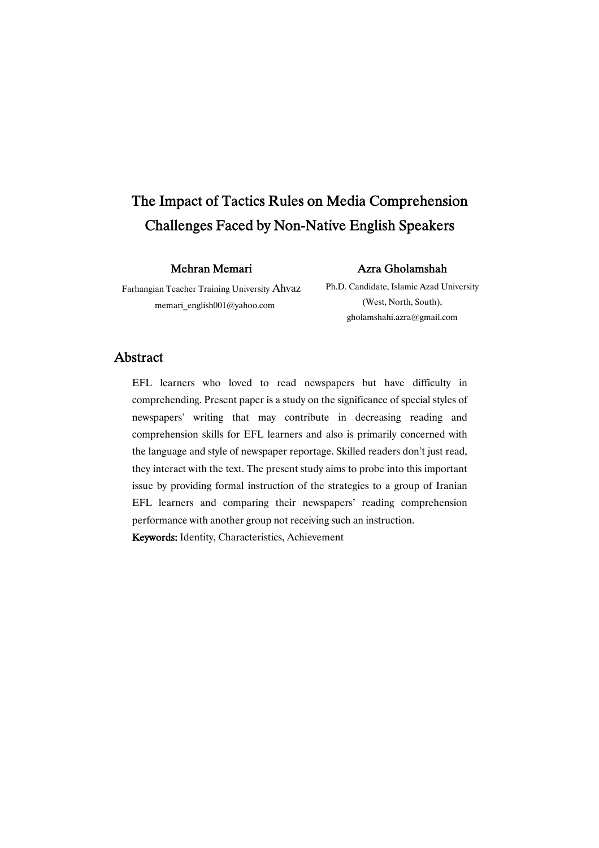# The Impact of Tactics Rules on Media Comprehension Challenges Faced by Non-Native English Speakers

### Mehran Memari

### Farhangian Teacher Training University Ahvaz memari\_english001@yahoo.com

# AzraGholamshah

Ph.D. Candidate, Islamic Azad University (West, North, South), gholamshahi.azra@gmail.com

## Abstract

EFL learners who loved to read newspapers but have difficulty in comprehending. Present paper is a study on the significance of special styles of newspapers' writing that may contribute in decreasing reading and comprehension skills for EFL learners and also is primarily concerned with the language and style of newspaper reportage. Skilled readers don't just read, they interact with the text. The present study aims to probe into this important issue by providing formal instruction of the strategies to a group of Iranian EFL learners and comparing their newspapers' reading comprehension performance with another group not receiving such an instruction.

Keywords: Identity, Characteristics, Achievement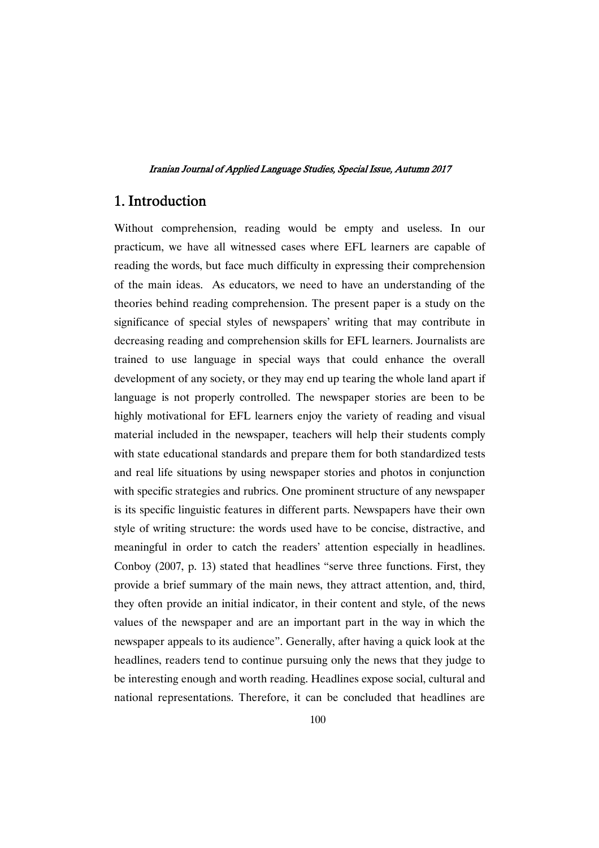## 1.Introduction

Without comprehension, reading would be empty and useless. In our practicum, we have all witnessed cases where EFL learners are capable of reading the words, but face much difficulty in expressing their comprehension of the main ideas. As educators, we need to have an understanding of the theories behind reading comprehension. The present paper is a study on the significance of special styles of newspapers' writing that may contribute in decreasing reading and comprehension skills for EFL learners. Journalists are trained to use language in special ways that could enhance the overall development of any society, or they may end up tearing the whole land apart if language is not properly controlled. The newspaper stories are been to be highly motivational for EFL learners enjoy the variety of reading and visual material included in the newspaper, teachers will help their students comply with state educational standards and prepare them for both standardized tests and real life situations by using newspaper stories and photos in conjunction with specific strategies and rubrics. One prominent structure of any newspaper is its specific linguistic features in different parts. Newspapers have their own style of writing structure: the words used have to be concise, distractive, and meaningful in order to catch the readers' attention especially in headlines. Conboy (2007, p. 13) stated that headlines "serve three functions. First, they provide a brief summary of the main news, they attract attention, and, third, they often provide an initial indicator, in their content and style, of the news values of the newspaper and are an important part in the way in which the newspaper appeals to its audience". Generally, after having a quick look at the headlines, readers tend to continue pursuing only the news that they judge to be interesting enough and worth reading. Headlines expose social, cultural and national representations. Therefore, it can be concluded that headlines are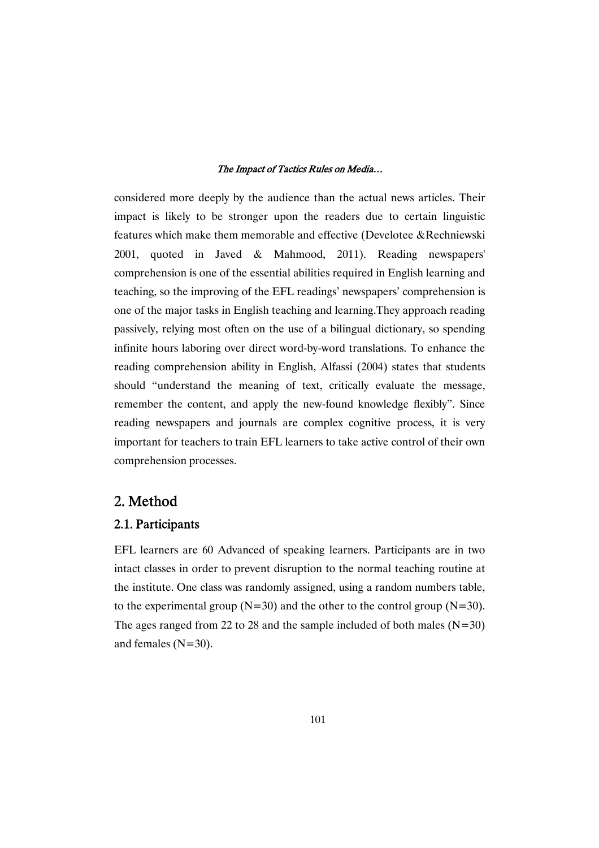considered more deeply by the audience than the actual news articles. Their impact is likely to be stronger upon the readers due to certain linguistic features which make them memorable and effective (Develotee &Rechniewski 2001, quoted in Javed & Mahmood, 2011). Reading newspapers' comprehension is one of the essential abilities required in English learning and teaching, so the improving of the EFL readings' newspapers' comprehension is one of the major tasks in English teaching and learning.They approach reading passively, relying most often on the use of a bilingual dictionary, so spending infinite hours laboring over direct word-by-word translations. To enhance the reading comprehension ability in English, Alfassi (2004) states that students should "understand the meaning of text, critically evaluate the message, remember the content, and apply the new-found knowledge flexibly". Since reading newspapers and journals are complex cognitive process, it is very important for teachers to train EFL learners to take active control of their own comprehension processes.

## 2.Method

## 2.1.Participants

EFL learners are 60 Advanced of speaking learners. Participants are in two intact classes in order to prevent disruption to the normal teaching routine at the institute. One class was randomly assigned, using a random numbers table, to the experimental group ( $N=30$ ) and the other to the control group ( $N=30$ ). The ages ranged from 22 to 28 and the sample included of both males  $(N=30)$ and females (N=30).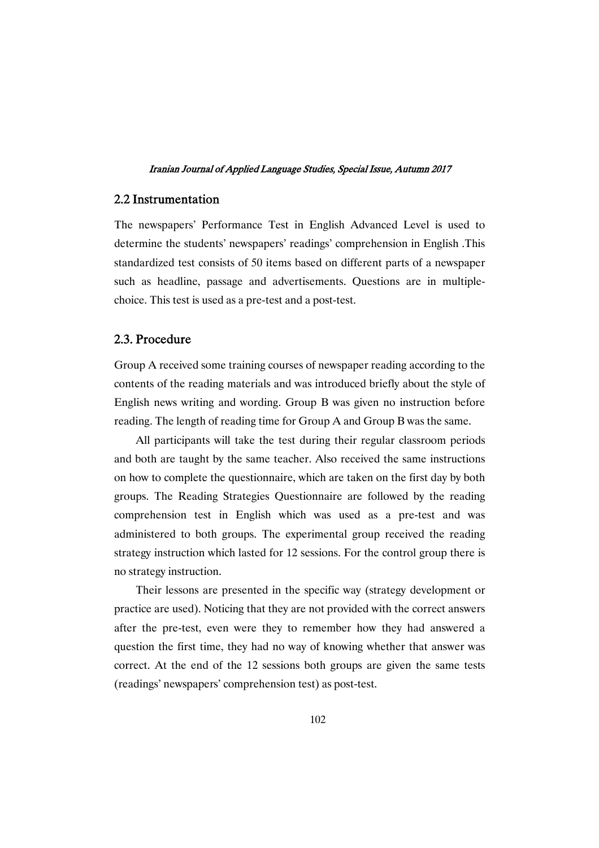## 2.2Instrumentation

The newspapers' Performance Test in English Advanced Level is used to determine the students' newspapers' readings' comprehension in English .This standardized test consists of 50 items based on different parts of a newspaper such as headline, passage and advertisements. Questions are in multiplechoice. This test is used as a pre-test and a post-test.

### 2.3.Procedure

Group A received some training courses of newspaper reading according to the contents of the reading materials and was introduced briefly about the style of English news writing and wording. Group B was given no instruction before reading. The length of reading time for Group A and Group B was the same.

All participants will take the test during their regular classroom periods and both are taught by the same teacher. Also received the same instructions on how to complete the questionnaire, which are taken on the first day by both groups. The Reading Strategies Questionnaire are followed by the reading comprehension test in English which was used as a pre-test and was administered to both groups. The experimental group received the reading strategy instruction which lasted for 12 sessions. For the control group there is no strategy instruction.

Their lessons are presented in the specific way (strategy development or practice are used). Noticing that they are not provided with the correct answers after the pre-test, even were they to remember how they had answered a question the first time, they had no way of knowing whether that answer was correct. At the end of the 12 sessions both groups are given the same tests (readings' newspapers' comprehension test) as post-test.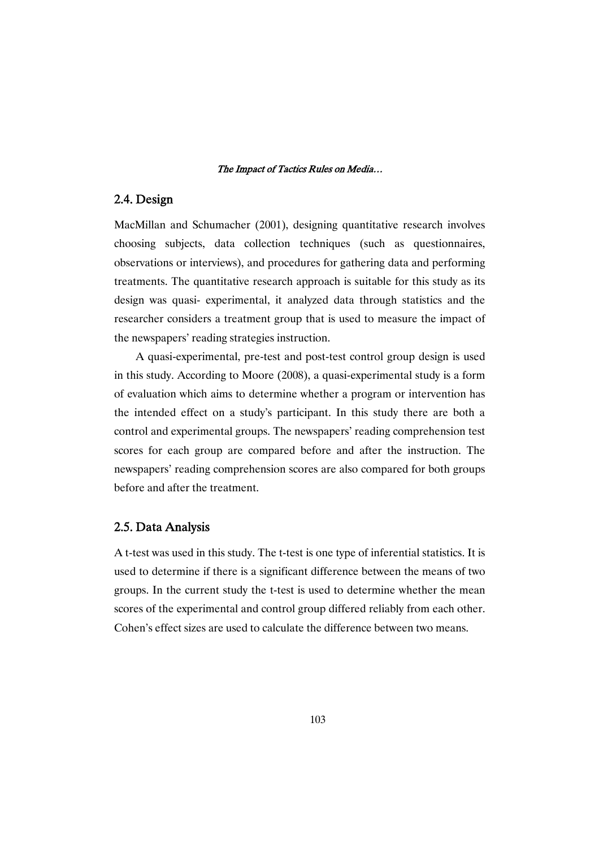## 2.4.Design

MacMillan and Schumacher (2001), designing quantitative research involves choosing subjects, data collection techniques (such as questionnaires, observations or interviews), and procedures for gathering data and performing treatments. The quantitative research approach is suitable for this study as its design was quasi- experimental, it analyzed data through statistics and the researcher considers a treatment group that is used to measure the impact of the newspapers' reading strategies instruction.

A quasi-experimental, pre-test and post-test control group design is used in this study. According to Moore (2008), a quasi-experimental study is a form of evaluation which aims to determine whether a program or intervention has the intended effect on a study's participant. In this study there are both a control and experimental groups. The newspapers' reading comprehension test scores for each group are compared before and after the instruction. The newspapers' reading comprehension scores are also compared for both groups before and after the treatment.

## 2.5. Data Analysis

A t-test was used in this study. The t-test is one type of inferential statistics. It is used to determine if there is a significant difference between the means of two groups. In the current study the t-test is used to determine whether the mean scores of the experimental and control group differed reliably from each other. Cohen's effect sizes are used to calculate the difference between two means.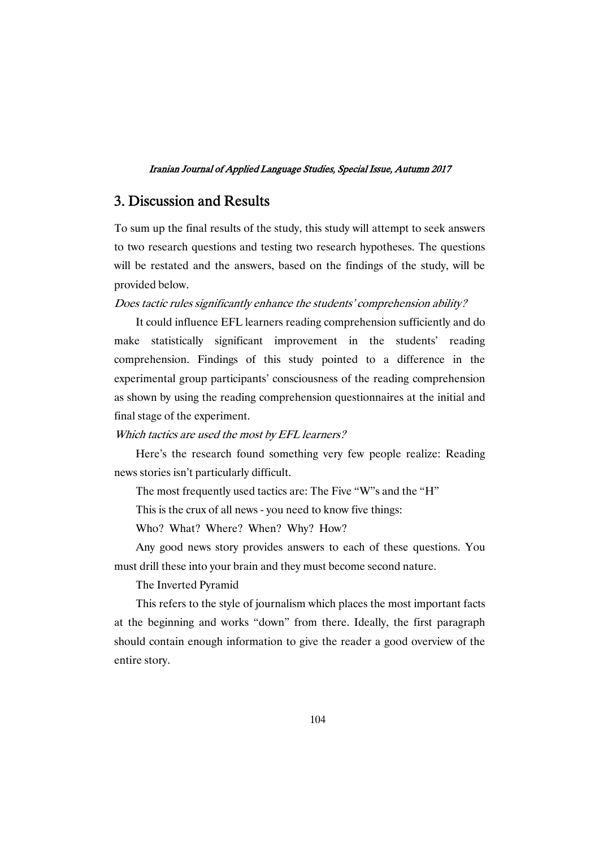## 3. Discussion and Results

To sum up the final results of the study, this study will attempt to seek answers to two research questions and testing two research hypotheses. The questions will be restated and the answers, based on the findings of the study, will be provided below.

### Does tactic rules significantly enhance the students' comprehension ability?

It could influence EFL learners reading comprehension sufficiently and do make statistically significant improvement in the students' reading comprehension. Findings of this study pointed to a difference in the experimental group participants' consciousness of the reading comprehension as shown by using the reading comprehension questionnaires at the initial and final stage of the experiment.

### Which tactics are used the most by EFL learners?

Here's the research found something very few people realize: Reading news stories isn't particularly difficult.

The most frequently used tactics are: The Five "W"s and the "H"

This is the crux of all news - you need to know five things:

Who? What? Where? When? Why? How?

Any good news story provides answers to each of these questions. You must drill these into your brain and they must become second nature.

The Inverted Pyramid

This refers to the style of journalism which places the most important facts at the beginning and works "down" from there. Ideally, the first paragraph should contain enough information to give the reader a good overview of the entire story.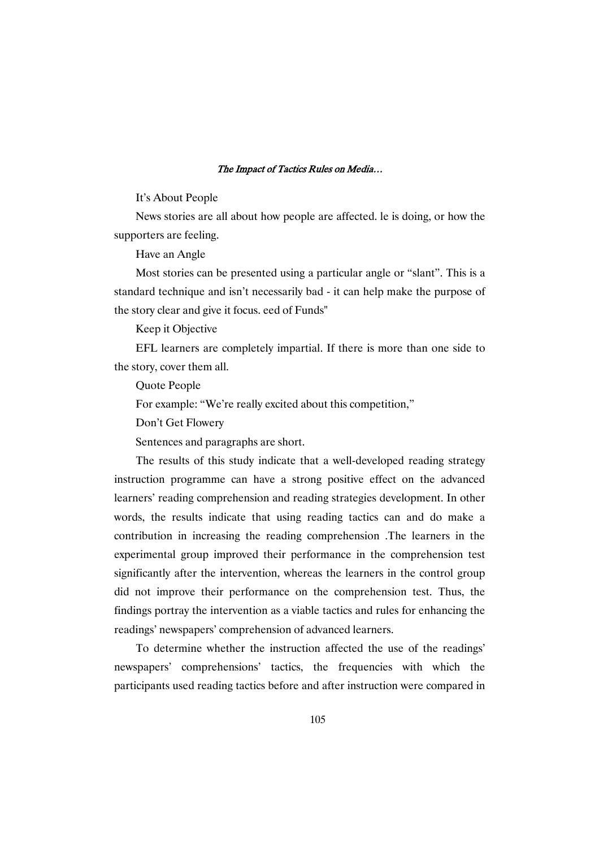#### It's About People

News stories are all about how people are affected. le is doing, or how the supporters are feeling.

Have an Angle

Most stories can be presented using a particular angle or "slant". This is a standard technique and isn't necessarily bad - it can help make the purpose of the story clear and give it focus. eed of Funds"

Keep it Objective

EFL learners are completely impartial. If there is more than one side to the story, cover them all.

Quote People

For example: "We're really excited about this competition,"

Don't Get Flowery

Sentences and paragraphs are short.

The results of this study indicate that a well-developed reading strategy instruction programme can have a strong positive effect on the advanced learners' reading comprehension and reading strategies development. In other words, the results indicate that using reading tactics can and do make a contribution in increasing the reading comprehension .The learners in the experimental group improved their performance in the comprehension test significantly after the intervention, whereas the learners in the control group did not improve their performance on the comprehension test. Thus, the findings portray the intervention as a viable tactics and rules for enhancing the readings' newspapers' comprehension of advanced learners.

To determine whether the instruction affected the use of the readings' newspapers' comprehensions' tactics, the frequencies with which the participants used reading tactics before and after instruction were compared in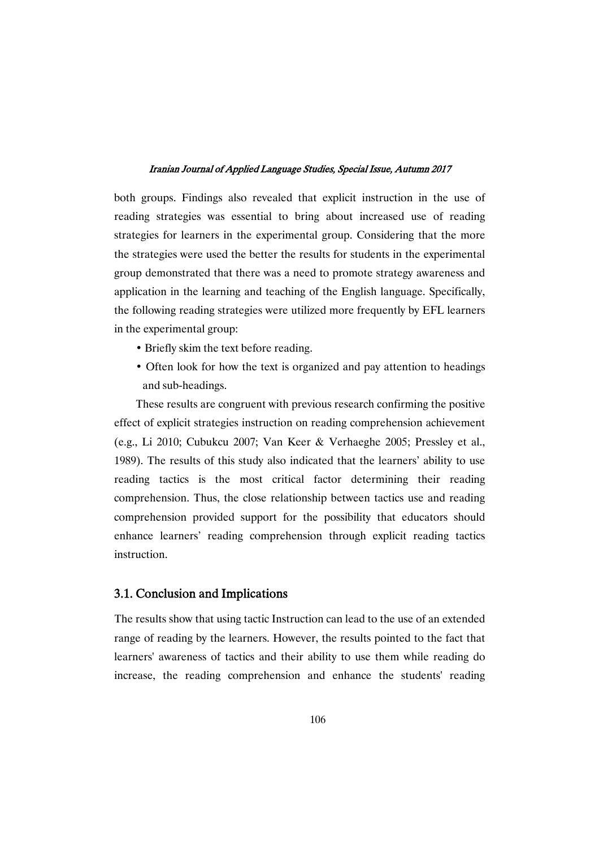both groups. Findings also revealed that explicit instruction in the use of reading strategies was essential to bring about increased use of reading strategies for learners in the experimental group. Considering that the more the strategies were used the better the results for students in the experimental group demonstrated that there was a need to promote strategy awareness and application in the learning and teaching of the English language. Specifically, the following reading strategies were utilized more frequently by EFL learners in the experimental group:

- Briefly skim the text before reading.
- Often look for how the text is organized and pay attention to headings and sub-headings.

These results are congruent with previous research confirming the positive effect of explicit strategies instruction on reading comprehension achievement (e.g., Li 2010; Cubukcu 2007; Van Keer & Verhaeghe 2005; Pressley et al., 1989). The results of this study also indicated that the learners' ability to use reading tactics is the most critical factor determining their reading comprehension. Thus, the close relationship between tactics use and reading comprehension provided support for the possibility that educators should enhance learners' reading comprehension through explicit reading tactics instruction.

## 3.1. Conclusion and Implications

The results show that using tactic Instruction can lead to the use of an extended range of reading by the learners. However, the results pointed to the fact that learners' awareness of tactics and their ability to use them while reading do increase, the reading comprehension and enhance the students' reading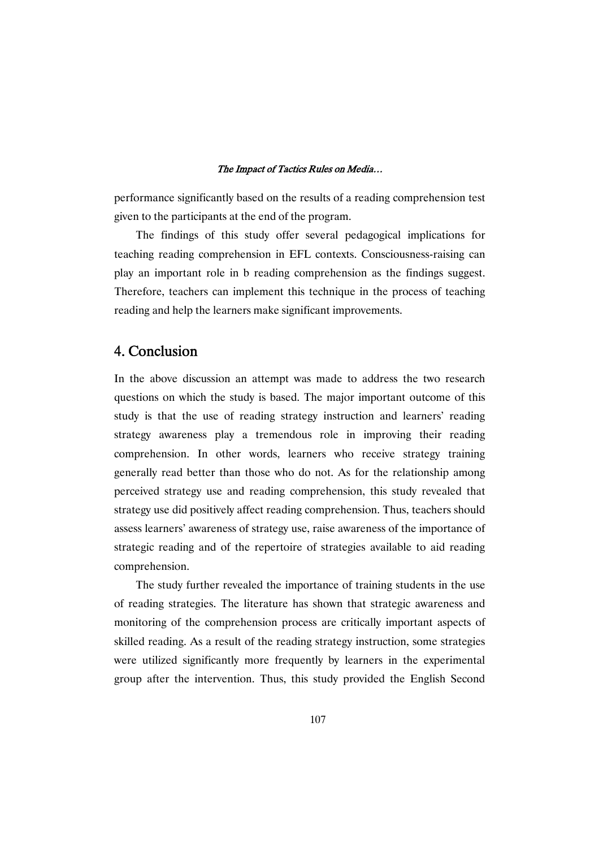performance significantly based on the results of a reading comprehension test given to the participants at the end of the program.

The findings of this study offer several pedagogical implications for teaching reading comprehension in EFL contexts. Consciousness-raising can play an important role in b reading comprehension as the findings suggest. Therefore, teachers can implement this technique in the process of teaching reading and help the learners make significant improvements.

## 4.Conclusion

In the above discussion an attempt was made to address the two research questions on which the study is based. The major important outcome of this study is that the use of reading strategy instruction and learners' reading strategy awareness play a tremendous role in improving their reading comprehension. In other words, learners who receive strategy training generally read better than those who do not. As for the relationship among perceived strategy use and reading comprehension, this study revealed that strategy use did positively affect reading comprehension. Thus, teachers should assess learners' awareness of strategy use, raise awareness of the importance of strategic reading and of the repertoire of strategies available to aid reading comprehension.

The study further revealed the importance of training students in the use of reading strategies. The literature has shown that strategic awareness and monitoring of the comprehension process are critically important aspects of skilled reading. As a result of the reading strategy instruction, some strategies were utilized significantly more frequently by learners in the experimental group after the intervention. Thus, this study provided the English Second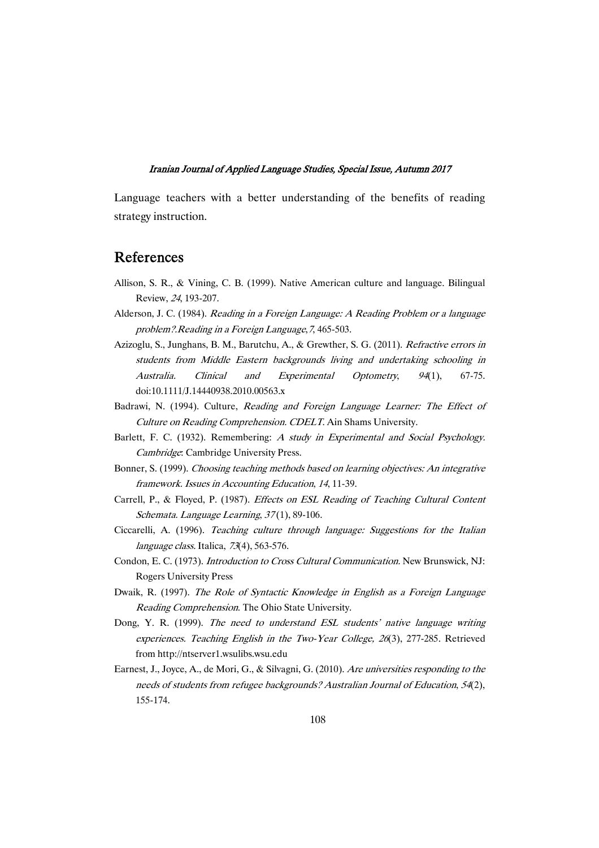Language teachers with a better understanding of the benefits of reading strategy instruction.

## References

- Allison, S. R., & Vining, C. B. (1999). Native American culture and language. Bilingual Review, <sup>24</sup>, 193-207.
- Alderson, J. C. (1984). *Reading in a Foreign Language: A Reading Problem or a language* problem?.Reading in <sup>a</sup> Foreign Language,7, 465-503.
- Azizoglu, S., Junghans, B. M., Barutchu, A., & Grewther, S. G. (2011). Refractive errors in students from Middle Eastern backgrounds living and undertaking schooling in Australia. Clinical and Experimental Optometry, <sup>94</sup>(1), 67-75. doi:10.1111/J.14440938.2010.00563.x
- Badrawi, N. (1994). Culture, Reading and Foreign Language Learner: The Effect of Culture on Reading Comprehension. CDELT. Ain Shams University.
- Barlett, F. C. (1932). Remembering: A study in Experimental and Social Psychology. Cambridge: Cambridge University Press.
- Bonner, S. (1999). Choosing teaching methods based on learning objectives: An integrative framework. Issues in Accounting Education, <sup>14</sup>, 11-39.
- Carrell, P., & Floyed, P. (1987). Effects on ESL Reading of Teaching Cultural Content Schemata. Language Learning, 37(1), 89-106.
- Ciccarelli, A. (1996). Teaching culture through language: Suggestions for the Italian language class. Italica, 73(4), 563-576.
- Condon, E. C. (1973). Introduction to Cross Cultural Communication. New Brunswick, NJ: Rogers University Press
- Dwaik, R. (1997). The Role of Syntactic Knowledge in English as <sup>a</sup> Foreign Language Reading Comprehension. The Ohio State University.
- Dong, Y. R. (1999). The need to understand ESL students' native language writing experiences. Teaching English in the Two-Year College, <sup>26</sup>(3), 277-285. Retrieved from http://ntserver1.wsulibs.wsu.edu
- Earnest, J., Joyce, A., de Mori, G., & Silvagni, G. (2010). Are universities responding to the needs of students from refugee backgrounds? Australian Journal of Education, 54(2), 155-174.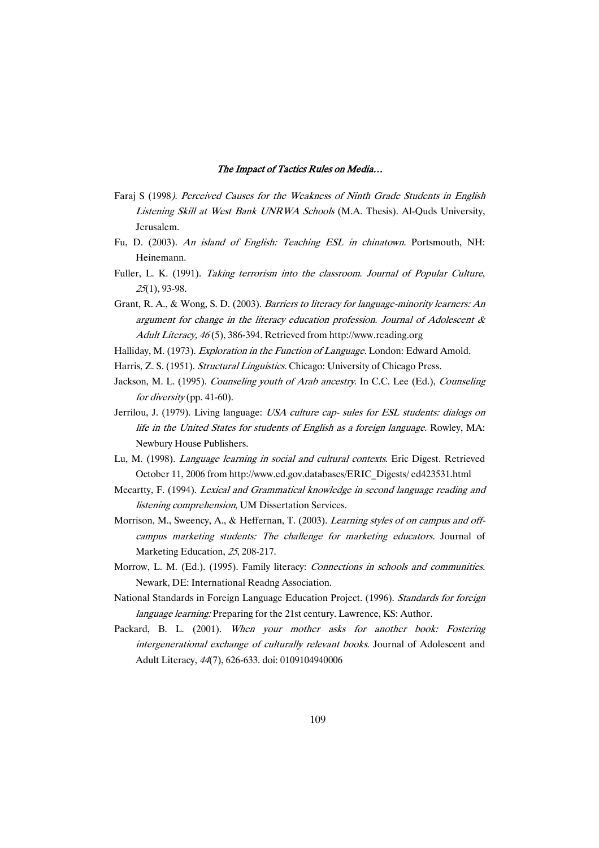- Faraj S (1998). Perceived Causes for the Weakness of Ninth Grade Students in English Listening Skill at West Bank UNRWA Schools (M.A. Thesis). Al-Quds University, Jerusalem.
- Fu, D. (2003). An island of English: Teaching ESL in chinatown. Portsmouth, NH: Heinemann.
- Fuller, L. K. (1991). Taking terrorism into the classroom. Journal of Popular Culture, <sup>25</sup>(1), 93-98.
- Grant, R. A., & Wong, S. D. (2003). Barriers to literacy for language-minority learners: An argument for change in the literacy education profession. Journal of Adolescent & Adult Literacy, <sup>46</sup> (5), 386-394. Retrieved from http://www.reading.org
- Halliday, M. (1973). Exploration in the Function of Language. London: Edward Amold.
- Harris, Z. S. (1951). Structural Linguistics. Chicago: University of Chicago Press.
- Jackson, M. L. (1995). Counseling youth of Arab ancestry. In C.C. Lee (Ed.), Counseling for diversity (pp. 41-60).
- Jerrilou, J. (1979). Living language: USA culture cap- sules for ESL students: dialogs on life in the United States for students of English as <sup>a</sup> foreign language. Rowley, MA: Newbury House Publishers.
- Lu, M. (1998). Language learning in social and cultural contexts. Eric Digest. Retrieved October 11, 2006 from http://www.ed.gov.databases/ERIC\_Digests/ ed423531.html
- Mecartty, F. (1994). Lexical and Grammatical knowledge in second language reading and listening comprehension, UM Dissertation Services.
- Morrison, M., Sweency, A., & Heffernan, T. (2003). Learning styles of on campus and offcampus marketing students: The challenge for marketing educators. Journal of Marketing Education, <sup>25</sup>, 208-217.
- Morrow, L. M. (Ed.). (1995). Family literacy: Connections in schools and communities. Newark, DE: International Readng Association.
- National Standards in Foreign Language Education Project. (1996). Standards for foreign language learning: Preparing for the 21st century. Lawrence, KS: Author.
- Packard, B. L. (2001). When your mother asks for another book: Fostering intergenerational exchange of culturally relevant books. Journal of Adolescent and Adult Literacy, <sup>44</sup>(7), 626-633. doi: 0109104940006